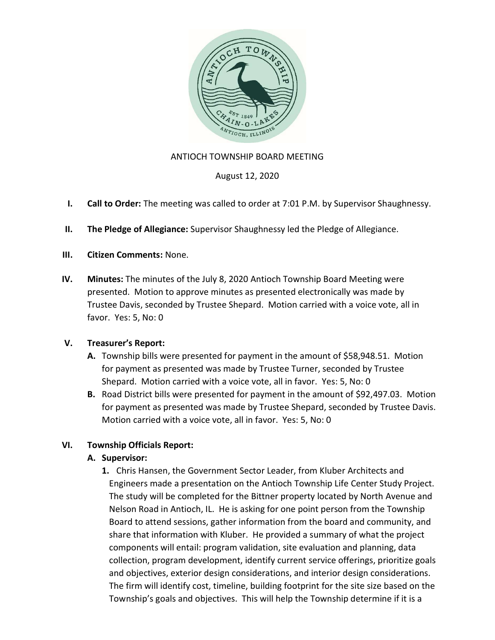

#### ANTIOCH TOWNSHIP BOARD MEETING

August 12, 2020

- I. Call to Order: The meeting was called to order at 7:01 P.M. by Supervisor Shaughnessy.
- II. The Pledge of Allegiance: Supervisor Shaughnessy led the Pledge of Allegiance.
- III. Citizen Comments: None.
- IV. Minutes: The minutes of the July 8, 2020 Antioch Township Board Meeting were presented. Motion to approve minutes as presented electronically was made by Trustee Davis, seconded by Trustee Shepard. Motion carried with a voice vote, all in favor. Yes: 5, No: 0

#### V. Treasurer's Report:

- A. Township bills were presented for payment in the amount of \$58,948.51. Motion for payment as presented was made by Trustee Turner, seconded by Trustee Shepard. Motion carried with a voice vote, all in favor. Yes: 5, No: 0
- B. Road District bills were presented for payment in the amount of \$92,497.03. Motion for payment as presented was made by Trustee Shepard, seconded by Trustee Davis. Motion carried with a voice vote, all in favor. Yes: 5, No: 0

### VI. Township Officials Report:

### A. Supervisor:

1. Chris Hansen, the Government Sector Leader, from Kluber Architects and Engineers made a presentation on the Antioch Township Life Center Study Project. The study will be completed for the Bittner property located by North Avenue and Nelson Road in Antioch, IL. He is asking for one point person from the Township Board to attend sessions, gather information from the board and community, and share that information with Kluber. He provided a summary of what the project components will entail: program validation, site evaluation and planning, data collection, program development, identify current service offerings, prioritize goals and objectives, exterior design considerations, and interior design considerations. The firm will identify cost, timeline, building footprint for the site size based on the Township's goals and objectives. This will help the Township determine if it is a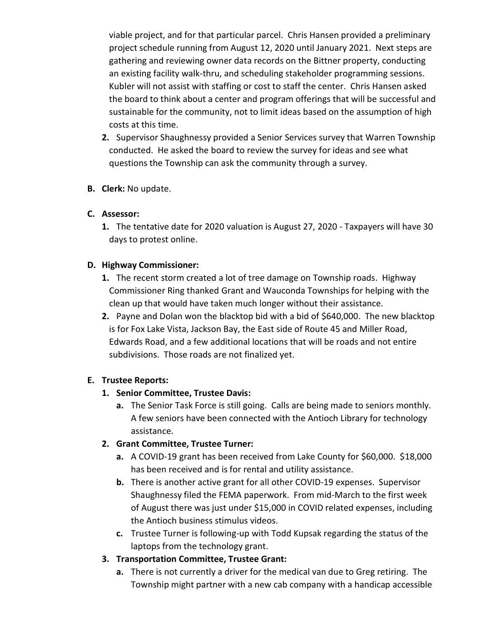viable project, and for that particular parcel. Chris Hansen provided a preliminary project schedule running from August 12, 2020 until January 2021. Next steps are gathering and reviewing owner data records on the Bittner property, conducting an existing facility walk-thru, and scheduling stakeholder programming sessions. Kubler will not assist with staffing or cost to staff the center. Chris Hansen asked the board to think about a center and program offerings that will be successful and sustainable for the community, not to limit ideas based on the assumption of high costs at this time.

- 2. Supervisor Shaughnessy provided a Senior Services survey that Warren Township conducted. He asked the board to review the survey for ideas and see what questions the Township can ask the community through a survey.
- B. Clerk: No update.

## C. Assessor:

1. The tentative date for 2020 valuation is August 27, 2020 - Taxpayers will have 30 days to protest online.

## D. Highway Commissioner:

- 1. The recent storm created a lot of tree damage on Township roads. Highway Commissioner Ring thanked Grant and Wauconda Townships for helping with the clean up that would have taken much longer without their assistance.
- 2. Payne and Dolan won the blacktop bid with a bid of \$640,000. The new blacktop is for Fox Lake Vista, Jackson Bay, the East side of Route 45 and Miller Road, Edwards Road, and a few additional locations that will be roads and not entire subdivisions. Those roads are not finalized yet.

# E. Trustee Reports:

### 1. Senior Committee, Trustee Davis:

a. The Senior Task Force is still going. Calls are being made to seniors monthly. A few seniors have been connected with the Antioch Library for technology assistance.

# 2. Grant Committee, Trustee Turner:

- a. A COVID-19 grant has been received from Lake County for \$60,000. \$18,000 has been received and is for rental and utility assistance.
- b. There is another active grant for all other COVID-19 expenses. Supervisor Shaughnessy filed the FEMA paperwork. From mid-March to the first week of August there was just under \$15,000 in COVID related expenses, including the Antioch business stimulus videos.
- c. Trustee Turner is following-up with Todd Kupsak regarding the status of the laptops from the technology grant.

# 3. Transportation Committee, Trustee Grant:

a. There is not currently a driver for the medical van due to Greg retiring. The Township might partner with a new cab company with a handicap accessible